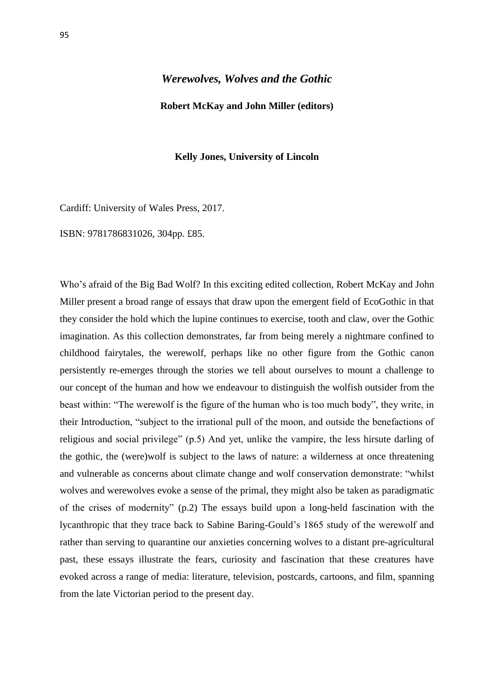## *Werewolves, Wolves and the Gothic*

## **Robert McKay and John Miller (editors)**

## **Kelly Jones, University of Lincoln**

Cardiff: University of Wales Press, 2017.

ISBN: 9781786831026, 304pp. £85.

Who's afraid of the Big Bad Wolf? In this exciting edited collection, Robert McKay and John Miller present a broad range of essays that draw upon the emergent field of EcoGothic in that they consider the hold which the lupine continues to exercise, tooth and claw, over the Gothic imagination. As this collection demonstrates, far from being merely a nightmare confined to childhood fairytales, the werewolf, perhaps like no other figure from the Gothic canon persistently re-emerges through the stories we tell about ourselves to mount a challenge to our concept of the human and how we endeavour to distinguish the wolfish outsider from the beast within: "The werewolf is the figure of the human who is too much body", they write, in their Introduction, "subject to the irrational pull of the moon, and outside the benefactions of religious and social privilege" (p.5) And yet, unlike the vampire, the less hirsute darling of the gothic, the (were)wolf is subject to the laws of nature: a wilderness at once threatening and vulnerable as concerns about climate change and wolf conservation demonstrate: "whilst wolves and werewolves evoke a sense of the primal, they might also be taken as paradigmatic of the crises of modernity" (p.2) The essays build upon a long-held fascination with the lycanthropic that they trace back to Sabine Baring-Gould's 1865 study of the werewolf and rather than serving to quarantine our anxieties concerning wolves to a distant pre-agricultural past, these essays illustrate the fears, curiosity and fascination that these creatures have evoked across a range of media: literature, television, postcards, cartoons, and film, spanning from the late Victorian period to the present day.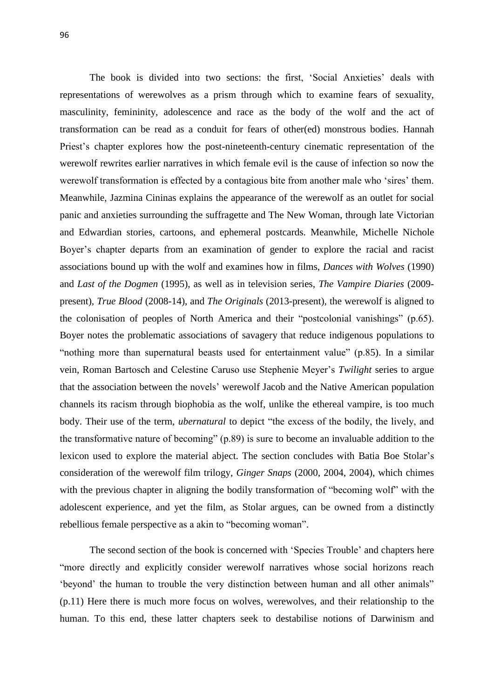The book is divided into two sections: the first, 'Social Anxieties' deals with representations of werewolves as a prism through which to examine fears of sexuality, masculinity, femininity, adolescence and race as the body of the wolf and the act of transformation can be read as a conduit for fears of other(ed) monstrous bodies. Hannah Priest's chapter explores how the post-nineteenth-century cinematic representation of the werewolf rewrites earlier narratives in which female evil is the cause of infection so now the werewolf transformation is effected by a contagious bite from another male who 'sires' them. Meanwhile, Jazmina Cininas explains the appearance of the werewolf as an outlet for social panic and anxieties surrounding the suffragette and The New Woman, through late Victorian and Edwardian stories, cartoons, and ephemeral postcards. Meanwhile, Michelle Nichole Boyer's chapter departs from an examination of gender to explore the racial and racist associations bound up with the wolf and examines how in films, *Dances with Wolves* (1990) and *Last of the Dogmen* (1995), as well as in television series, *The Vampire Diaries* (2009 present)*, True Blood* (2008-14), and *The Originals* (2013-present)*,* the werewolf is aligned to the colonisation of peoples of North America and their "postcolonial vanishings" (p.65). Boyer notes the problematic associations of savagery that reduce indigenous populations to "nothing more than supernatural beasts used for entertainment value" (p.85). In a similar vein, Roman Bartosch and Celestine Caruso use Stephenie Meyer's *Twilight* series to argue that the association between the novels' werewolf Jacob and the Native American population channels its racism through biophobia as the wolf, unlike the ethereal vampire, is too much body. Their use of the term, *ubernatural* to depict "the excess of the bodily, the lively, and the transformative nature of becoming" (p.89) is sure to become an invaluable addition to the lexicon used to explore the material abject. The section concludes with Batia Boe Stolar's consideration of the werewolf film trilogy, *Ginger Snaps* (2000, 2004, 2004), which chimes with the previous chapter in aligning the bodily transformation of "becoming wolf" with the adolescent experience, and yet the film, as Stolar argues, can be owned from a distinctly rebellious female perspective as a akin to "becoming woman".

The second section of the book is concerned with 'Species Trouble' and chapters here "more directly and explicitly consider werewolf narratives whose social horizons reach 'beyond' the human to trouble the very distinction between human and all other animals" (p.11) Here there is much more focus on wolves, werewolves, and their relationship to the human. To this end, these latter chapters seek to destabilise notions of Darwinism and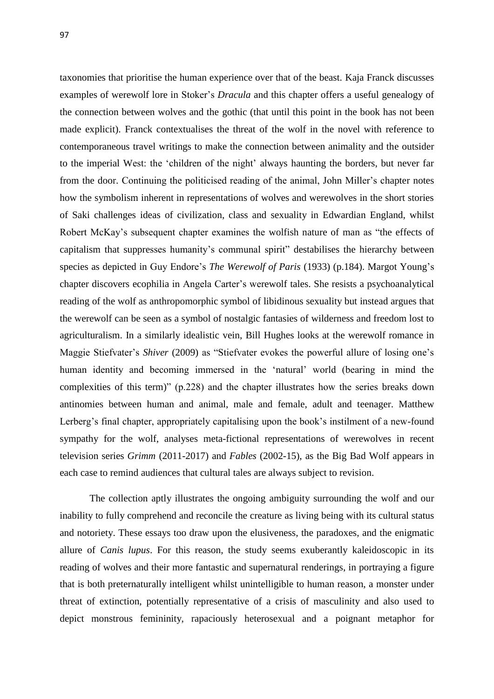taxonomies that prioritise the human experience over that of the beast. Kaja Franck discusses examples of werewolf lore in Stoker's *Dracula* and this chapter offers a useful genealogy of the connection between wolves and the gothic (that until this point in the book has not been made explicit). Franck contextualises the threat of the wolf in the novel with reference to contemporaneous travel writings to make the connection between animality and the outsider to the imperial West: the 'children of the night' always haunting the borders, but never far from the door. Continuing the politicised reading of the animal, John Miller's chapter notes how the symbolism inherent in representations of wolves and werewolves in the short stories of Saki challenges ideas of civilization, class and sexuality in Edwardian England, whilst Robert McKay's subsequent chapter examines the wolfish nature of man as "the effects of capitalism that suppresses humanity's communal spirit" destabilises the hierarchy between species as depicted in Guy Endore's *The Werewolf of Paris* (1933) (p.184). Margot Young's chapter discovers ecophilia in Angela Carter's werewolf tales. She resists a psychoanalytical reading of the wolf as anthropomorphic symbol of libidinous sexuality but instead argues that the werewolf can be seen as a symbol of nostalgic fantasies of wilderness and freedom lost to agriculturalism. In a similarly idealistic vein, Bill Hughes looks at the werewolf romance in Maggie Stiefvater's *Shiver* (2009) as "Stiefvater evokes the powerful allure of losing one's human identity and becoming immersed in the 'natural' world (bearing in mind the complexities of this term)" (p.228) and the chapter illustrates how the series breaks down antinomies between human and animal, male and female, adult and teenager. Matthew Lerberg's final chapter, appropriately capitalising upon the book's instilment of a new-found sympathy for the wolf, analyses meta-fictional representations of werewolves in recent television series *Grimm* (2011-2017) and *Fables* (2002-15), as the Big Bad Wolf appears in each case to remind audiences that cultural tales are always subject to revision.

The collection aptly illustrates the ongoing ambiguity surrounding the wolf and our inability to fully comprehend and reconcile the creature as living being with its cultural status and notoriety. These essays too draw upon the elusiveness, the paradoxes, and the enigmatic allure of *Canis lupus*. For this reason, the study seems exuberantly kaleidoscopic in its reading of wolves and their more fantastic and supernatural renderings, in portraying a figure that is both preternaturally intelligent whilst unintelligible to human reason, a monster under threat of extinction, potentially representative of a crisis of masculinity and also used to depict monstrous femininity, rapaciously heterosexual and a poignant metaphor for